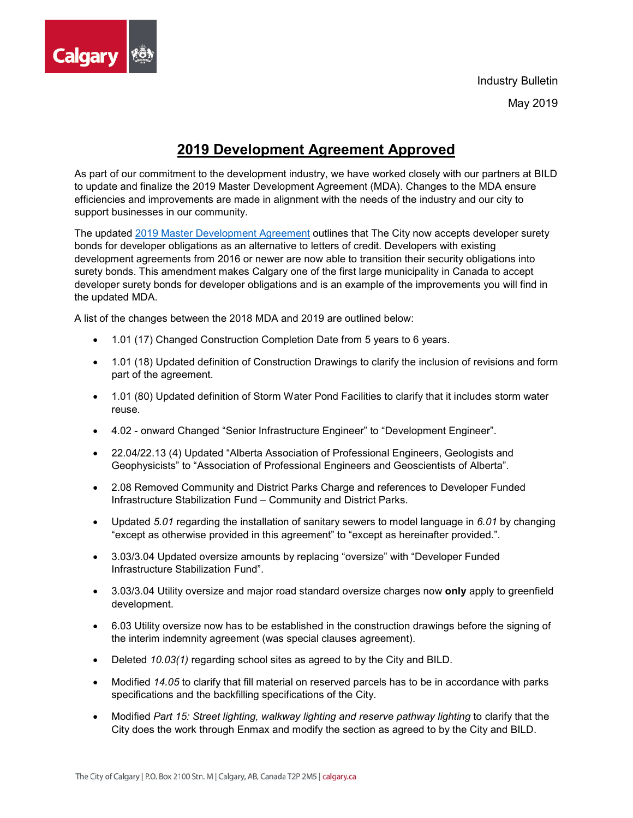

Industry Bulletin May 2019

## **2019 Development Agreement Approved**

As part of our commitment to the development industry, we have worked closely with our partners at BILD to update and finalize the 2019 Master Development Agreement (MDA). Changes to the MDA ensure efficiencies and improvements are made in alignment with the needs of the industry and our city to support businesses in our community.

The updated [2019 Master Development](https://www.calgary.ca/PDA/pd/Documents/urban_development/master_development_agreements/2019-master-development-agreement.pdf) Agreement outlines that The City now accepts developer surety bonds for developer obligations as an alternative to letters of credit. Developers with existing development agreements from 2016 or newer are now able to transition their security obligations into surety bonds. This amendment makes Calgary one of the first large municipality in Canada to accept developer surety bonds for developer obligations and is an example of the improvements you will find in the updated MDA.

A list of the changes between the 2018 MDA and 2019 are outlined below:

- 1.01 (17) Changed Construction Completion Date from 5 years to 6 years.
- 1.01 (18) Updated definition of Construction Drawings to clarify the inclusion of revisions and form part of the agreement.
- 1.01 (80) Updated definition of Storm Water Pond Facilities to clarify that it includes storm water reuse.
- 4.02 onward Changed "Senior Infrastructure Engineer" to "Development Engineer".
- 22.04/22.13 (4) Updated "Alberta Association of Professional Engineers, Geologists and Geophysicists" to "Association of Professional Engineers and Geoscientists of Alberta".
- 2.08 Removed Community and District Parks Charge and references to Developer Funded Infrastructure Stabilization Fund – Community and District Parks.
- Updated *5.01* regarding the installation of sanitary sewers to model language in *6.01* by changing "except as otherwise provided in this agreement" to "except as hereinafter provided.".
- 3.03/3.04 Updated oversize amounts by replacing "oversize" with "Developer Funded Infrastructure Stabilization Fund".
- 3.03/3.04 Utility oversize and major road standard oversize charges now **only** apply to greenfield development.
- 6.03 Utility oversize now has to be established in the construction drawings before the signing of the interim indemnity agreement (was special clauses agreement).
- Deleted *10.03(1)* regarding school sites as agreed to by the City and BILD.
- Modified *14.05* to clarify that fill material on reserved parcels has to be in accordance with parks specifications and the backfilling specifications of the City.
- Modified *Part 15: Street lighting, walkway lighting and reserve pathway lighting* to clarify that the City does the work through Enmax and modify the section as agreed to by the City and BILD.